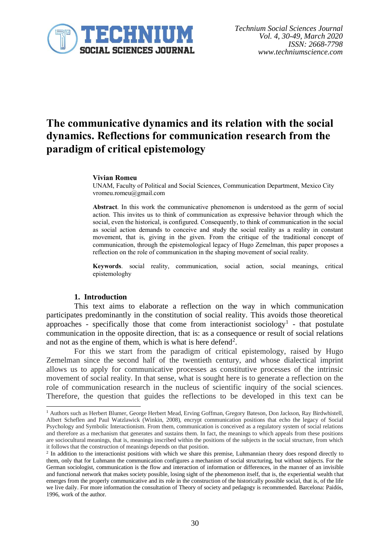

# **The communicative dynamics and its relation with the social dynamics. Reflections for communication research from the paradigm of critical epistemology**

#### **Vivian Romeu**

UNAM, Faculty of Political and Social Sciences, Communication Department, Mexico City vromeu.romeu@gmail.com

**Abstract**. In this work the communicative phenomenon is understood as the germ of social action. This invites us to think of communication as expressive behavior through which the social, even the historical, is configured. Consequently, to think of communication in the social as social action demands to conceive and study the social reality as a reality in constant movement, that is, giving in the given. From the critique of the traditional concept of communication, through the epistemological legacy of Hugo Zemelman, this paper proposes a reflection on the role of communication in the shaping movement of social reality.

**Keywords**. social reality, communication, social action, social meanings, critical epistemologhy

### **1. Introduction**

This text aims to elaborate a reflection on the way in which communication participates predominantly in the constitution of social reality. This avoids those theoretical approaches - specifically those that come from interactionist sociology<sup>1</sup> - that postulate communication in the opposite direction, that is: as a consequence or result of social relations and not as the engine of them, which is what is here defend<sup>2</sup>.

For this we start from the paradigm of critical epistemology, raised by Hugo Zemelman since the second half of the twentieth century, and whose dialectical imprint allows us to apply for communicative processes as constitutive processes of the intrinsic movement of social reality. In that sense, what is sought here is to generate a reflection on the role of communication research in the nucleus of scientific inquiry of the social sciences. Therefore, the question that guides the reflections to be developed in this text can be

<sup>1</sup> Authors such as Herbert Blumer, George Herbert Mead, Erving Goffman, Gregory Bateson, Don Jackson, Ray Birdwhistell, Albert Scheflen and Paul Watzlawick (Winkin, 2008), encrypt communication positions that echo the legacy of Social Psychology and Symbolic Interactionism. From them, communication is conceived as a regulatory system of social relations and therefore as a mechanism that generates and sustains them. In fact, the meanings to which appeals from these positions are sociocultural meanings, that is, meanings inscribed within the positions of the subjects in the social structure, from which it follows that the construction of meanings depends on that position.

<sup>&</sup>lt;sup>2</sup> In addition to the interactionist positions with which we share this premise, Luhmannian theory does respond directly to them, only that for Luhmann the communication configures a mechanism of social structuring, but without subjects. For the German sociologist, communication is the flow and interaction of information or differences, in the manner of an invisible and functional network that makes society possible, losing sight of the phenomenon itself, that is, the experiential wealth that emerges from the properly communicative and its role in the construction of the historically possible social, that is, of the life we live daily. For more information the consultation of Theory of society and pedagogy is recommended. Barcelona: Paidós, 1996, work of the author.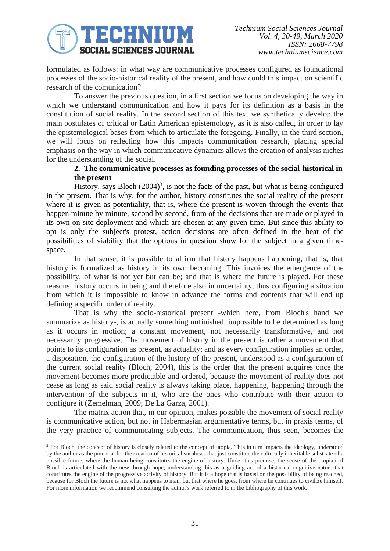

formulated as follows: in what way are communicative processes configured as foundational processes of the socio-historical reality of the present, and how could this impact on scientific research of the comunication?

To answer the previous question, in a first section we focus on developing the way in which we understand communication and how it pays for its definition as a basis in the constitution of social reality. In the second section of this text we synthetically develop the main postulates of critical or Latin American epistemology, as it is also called, in order to lay the epistemological bases from which to articulate the foregoing. Finally, in the third section, we will focus on reflecting how this impacts communication research, placing special emphasis on the way in which communicative dynamics allows the creation of analysis niches for the understanding of the social.

## **2. The communicative processes as founding processes of the social-historical in the present**

History, says Bloch  $(2004)^3$ , is not the facts of the past, but what is being configured in the present. That is why, for the author, history constitutes the social reality of the present where it is given as potentiality, that is, where the present is woven through the events that happen minute by minute, second by second, from of the decisions that are made or played in its own on-site deployment and which are chosen at any given time. But since this ability to opt is only the subject's protest, action decisions are often defined in the heat of the possibilities of viability that the options in question show for the subject in a given timespace.

In that sense, it is possible to affirm that history happens happening, that is, that history is formalized as history in its own becoming. This invoices the emergence of the possibility, of what is not yet but can be; and that is where the future is played. For these reasons, history occurs in being and therefore also in uncertainty, thus configuring a situation from which it is impossible to know in advance the forms and contents that will end up defining a specific order of reality.

That is why the socio-historical present -which here, from Bloch's hand we summarize as history-, is actually something unfinished, impossible to be determined as long as it occurs in motion; a constant movement, not necessarily transformative, and not necessarily progressive. The movement of history in the present is rather a movement that points to its configuration as present, as actuality; and as every configuration implies an order, a disposition, the configuration of the history of the present, understood as a configuration of the current social reality (Bloch, 2004), this is the order that the present acquires once the movement becomes more predictable and ordered, because the movement of reality does not cease as long as said social reality is always taking place, happening, happening through the intervention of the subjects in it, who are the ones who contribute with their action to configure it (Zemelman, 2009; De La Garza, 2001).

The matrix action that, in our opinion, makes possible the movement of social reality is communicative action, but not in Habermasian argumentative terms, but in praxis terms, of the very practice of communicating subjects. The communication, thus seen, becomes the

<sup>&</sup>lt;sup>3</sup> For Bloch, the concept of history is closely related to the concept of utopia. This in turn impacts the ideology, understood by the author as the potential for the creation of historical surpluses that just constitute the culturally inheritable substrate of a possible future, where the human being constitutes the engine of history. Under this premise, the sense of the utopian of Bloch is articulated with the new through hope, understanding this as a guiding act of a historical-cognitive nature that constitutes the engine of the progressive activity of history. But it is a hope that is based on the possibility of being reached, because for Bloch the future is not what happens to man, but that where he goes, from where he continues to civilize himself. For more information we recommend consulting the author's work referred to in the bibliography of this work.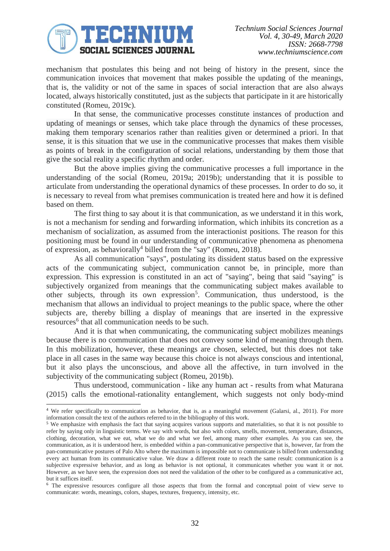# TECHNIUM **SOCIAL SCIENCES JOURNAL**

mechanism that postulates this being and not being of history in the present, since the communication invoices that movement that makes possible the updating of the meanings, that is, the validity or not of the same in spaces of social interaction that are also always located, always historically constituted, just as the subjects that participate in it are historically constituted (Romeu, 2019c).

In that sense, the communicative processes constitute instances of production and updating of meanings or senses, which take place through the dynamics of these processes, making them temporary scenarios rather than realities given or determined a priori. In that sense, it is this situation that we use in the communicative processes that makes them visible as points of break in the configuration of social relations, understanding by them those that give the social reality a specific rhythm and order.

But the above implies giving the communicative processes a full importance in the understanding of the social (Romeu, 2019a; 2019b); understanding that it is possible to articulate from understanding the operational dynamics of these processes. In order to do so, it is necessary to reveal from what premises communication is treated here and how it is defined based on them.

The first thing to say about it is that communication, as we understand it in this work, is not a mechanism for sending and forwarding information, which inhibits its concretion as a mechanism of socialization, as assumed from the interactionist positions. The reason for this positioning must be found in our understanding of communicative phenomena as phenomena of expression, as behaviorally<sup>4</sup> billed from the "say" (Romeu, 2018).

As all communication "says", postulating its dissident status based on the expressive acts of the communicating subject, communication cannot be, in principle, more than expression. This expression is constituted in an act of "saying", being that said "saying" is subjectively organized from meanings that the communicating subject makes available to other subjects, through its own expression<sup>5</sup>. Communication, thus understood, is the mechanism that allows an individual to project meanings to the public space, where the other subjects are, thereby billing a display of meanings that are inserted in the expressive resources<sup>6</sup> that all communication needs to be such.

And it is that when communicating, the communicating subject mobilizes meanings because there is no communication that does not convey some kind of meaning through them. In this mobilization, however, these meanings are chosen, selected, but this does not take place in all cases in the same way because this choice is not always conscious and intentional, but it also plays the unconscious, and above all the affective, in turn involved in the subjectivity of the communicating subject (Romeu, 2019b).

Thus understood, communication - like any human act - results from what Maturana (2015) calls the emotional-rationality entanglement, which suggests not only body-mind

<sup>&</sup>lt;sup>4</sup> We refer specifically to communication as behavior, that is, as a meaningful movement (Galarsi, al., 2011). For more information consult the text of the authors referred to in the bibliography of this work.

<sup>&</sup>lt;sup>5</sup> We emphasize with emphasis the fact that saying acquires various supports and materialities, so that it is not possible to refer by saying only in linguistic terms. We say with words, but also with colors, smells, movement, temperature, distances, clothing, decoration, what we eat, what we do and what we feel, among many other examples. As you can see, the communication, as it is understood here, is embedded within a pan-communicative perspective that is, however, far from the pan-communicative postures of Palo Alto where the maximum is impossible not to communicate is billed from understanding every act human from its communicative value. We draw a different route to reach the same result: communication is a subjective expressive behavior, and as long as behavior is not optional, it communicates whether you want it or not. However, as we have seen, the expression does not need the validation of the other to be configured as a communicative act, but it suffices itself.

<sup>6</sup> The expressive resources configure all those aspects that from the formal and conceptual point of view serve to communicate: words, meanings, colors, shapes, textures, frequency, intensity, etc.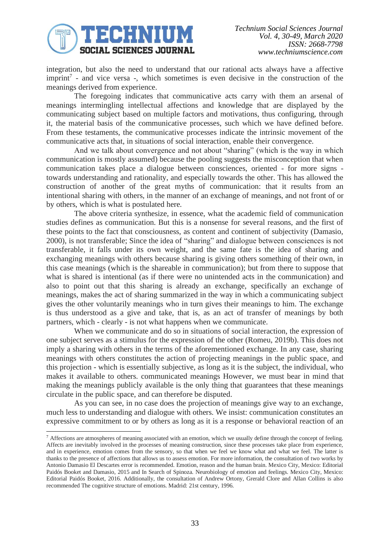

integration, but also the need to understand that our rational acts always have a affective imprint<sup>7</sup> - and vice versa -, which sometimes is even decisive in the construction of the meanings derived from experience.

The foregoing indicates that communicative acts carry with them an arsenal of meanings intermingling intellectual affections and knowledge that are displayed by the communicating subject based on multiple factors and motivations, thus configuring, through it, the material basis of the communicative processes, such which we have defined before. From these testaments, the communicative processes indicate the intrinsic movement of the communicative acts that, in situations of social interaction, enable their convergence.

And we talk about convergence and not about "sharing" (which is the way in which communication is mostly assumed) because the pooling suggests the misconception that when communication takes place a dialogue between consciences, oriented - for more signs towards understanding and rationality, and especially towards the other. This has allowed the construction of another of the great myths of communication: that it results from an intentional sharing with others, in the manner of an exchange of meanings, and not front of or by others, which is what is postulated here.

The above criteria synthesize, in essence, what the academic field of communication studies defines as communication. But this is a nonsense for several reasons, and the first of these points to the fact that consciousness, as content and continent of subjectivity (Damasio, 2000), is not transferable; Since the idea of "sharing" and dialogue between consciences is not transferable, it falls under its own weight, and the same fate is the idea of sharing and exchanging meanings with others because sharing is giving others something of their own, in this case meanings (which is the shareable in communication); but from there to suppose that what is shared is intentional (as if there were no unintended acts in the communication) and also to point out that this sharing is already an exchange, specifically an exchange of meanings, makes the act of sharing summarized in the way in which a communicating subject gives the other voluntarily meanings who in turn gives their meanings to him. The exchange is thus understood as a give and take, that is, as an act of transfer of meanings by both partners, which - clearly - is not what happens when we communicate.

When we communicate and do so in situations of social interaction, the expression of one subject serves as a stimulus for the expression of the other (Romeu, 2019b). This does not imply a sharing with others in the terms of the aforementioned exchange. In any case, sharing meanings with others constitutes the action of projecting meanings in the public space, and this projection - which is essentially subjective, as long as it is the subject, the individual, who makes it available to others. communicated meanings However, we must bear in mind that making the meanings publicly available is the only thing that guarantees that these meanings circulate in the public space, and can therefore be disputed.

As you can see, in no case does the projection of meanings give way to an exchange, much less to understanding and dialogue with others. We insist: communication constitutes an expressive commitment to or by others as long as it is a response or behavioral reaction of an

<sup>&</sup>lt;sup>7</sup> Affections are atmospheres of meaning associated with an emotion, which we usually define through the concept of feeling. Affects are inevitably involved in the processes of meaning construction, since these processes take place from experience, and in experience, emotion comes from the sensory, so that when we feel we know what and what we feel. The latter is thanks to the presence of affections that allows us to assess emotion. For more information, the consultation of two works by Antonio Damasio El Descartes error is recommended. Emotion, reason and the human brain. Mexico City, Mexico: Editorial Paidós Booket and Damasio, 2015 and In Search of Spinoza. Neurobiology of emotion and feelings. Mexico City, Mexico: Editorial Paidós Booket, 2016. Additionally, the consultation of Andrew Ortony, Grerald Clore and Allan Collins is also recommended The cognitive structure of emotions. Madrid: 21st century, 1996.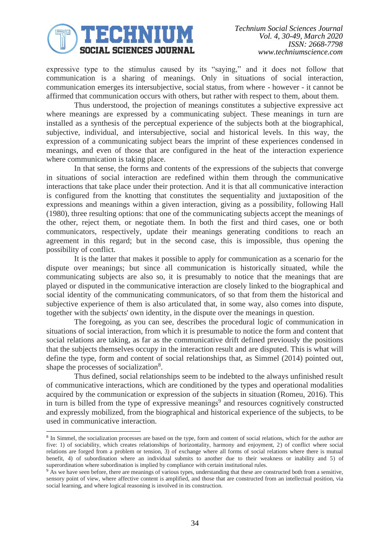

expressive type to the stimulus caused by its "saying," and it does not follow that communication is a sharing of meanings. Only in situations of social interaction, communication emerges its intersubjective, social status, from where - however - it cannot be affirmed that communication occurs with others, but rather with respect to them, about them.

Thus understood, the projection of meanings constitutes a subjective expressive act where meanings are expressed by a communicating subject. These meanings in turn are installed as a synthesis of the perceptual experience of the subjects both at the biographical, subjective, individual, and intersubjective, social and historical levels. In this way, the expression of a communicating subject bears the imprint of these experiences condensed in meanings, and even of those that are configured in the heat of the interaction experience where communication is taking place.

In that sense, the forms and contents of the expressions of the subjects that converge in situations of social interaction are redefined within them through the communicative interactions that take place under their protection. And it is that all communicative interaction is configured from the knotting that constitutes the sequentiality and juxtaposition of the expressions and meanings within a given interaction, giving as a possibility, following Hall (1980), three resulting options: that one of the communicating subjects accept the meanings of the other, reject them, or negotiate them. In both the first and third cases, one or both communicators, respectively, update their meanings generating conditions to reach an agreement in this regard; but in the second case, this is impossible, thus opening the possibility of conflict.

It is the latter that makes it possible to apply for communication as a scenario for the dispute over meanings; but since all communication is historically situated, while the communicating subjects are also so, it is presumably to notice that the meanings that are played or disputed in the communicative interaction are closely linked to the biographical and social identity of the communicating communicators, of so that from them the historical and subjective experience of them is also articulated that, in some way, also comes into dispute, together with the subjects' own identity, in the dispute over the meanings in question.

The foregoing, as you can see, describes the procedural logic of communication in situations of social interaction, from which it is presumable to notice the form and content that social relations are taking, as far as the communicative drift defined previously the positions that the subjects themselves occupy in the interaction result and are disputed. This is what will define the type, form and content of social relationships that, as Simmel (2014) pointed out, shape the processes of socialization<sup>8</sup>.

Thus defined, social relationships seem to be indebted to the always unfinished result of communicative interactions, which are conditioned by the types and operational modalities acquired by the communication or expression of the subjects in situation (Romeu, 2016). This in turn is billed from the type of expressive meanings<sup>9</sup> and resources cognitively constructed and expressly mobilized, from the biographical and historical experience of the subjects, to be used in communicative interaction.

<sup>&</sup>lt;sup>8</sup> In Simmel, the socialization processes are based on the type, form and content of social relations, which for the author are five: 1) of sociability, which creates relationships of horizontality, harmony and enjoyment, 2) of conflict where social relations are forged from a problem or tension, 3) of exchange where all forms of social relations where there is mutual benefit, 4) of subordination where an individual submits to another due to their weakness or inability and 5) of superordination where subordination is implied by compliance with certain institutional rules.

<sup>&</sup>lt;sup>9</sup> As we have seen before, there are meanings of various types, understanding that these are constructed both from a sensitive, sensory point of view, where affective content is amplified, and those that are constructed from an intellectual position, via social learning, and where logical reasoning is involved in its construction.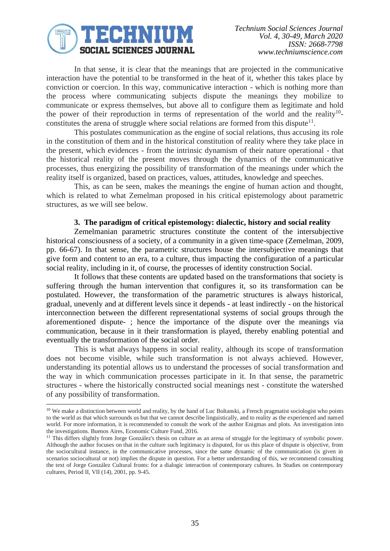

In that sense, it is clear that the meanings that are projected in the communicative interaction have the potential to be transformed in the heat of it, whether this takes place by conviction or coercion. In this way, communicative interaction - which is nothing more than the process where communicating subjects dispute the meanings they mobilize to communicate or express themselves, but above all to configure them as legitimate and hold the power of their reproduction in terms of representation of the world and the reality<sup>10</sup>constitutes the arena of struggle where social relations are formed from this dispute<sup>11</sup>.

This postulates communication as the engine of social relations, thus accusing its role in the constitution of them and in the historical constitution of reality where they take place in the present, which evidences - from the intrinsic dynamism of their nature operational - that the historical reality of the present moves through the dynamics of the communicative processes, thus energizing the possibility of transformation of the meanings under which the reality itself is organized, based on practices, values, attitudes, knowledge and speeches.

This, as can be seen, makes the meanings the engine of human action and thought, which is related to what Zemelman proposed in his critical epistemology about parametric structures, as we will see below.

### **3. The paradigm of critical epistemology: dialectic, history and social reality**

Zemelmanian parametric structures constitute the content of the intersubjective historical consciousness of a society, of a community in a given time-space (Zemelman, 2009, pp. 66-67). In that sense, the parametric structures house the intersubjective meanings that give form and content to an era, to a culture, thus impacting the configuration of a particular social reality, including in it, of course, the processes of identity construction Social.

It follows that these contents are updated based on the transformations that society is suffering through the human intervention that configures it, so its transformation can be postulated. However, the transformation of the parametric structures is always historical, gradual, unevenly and at different levels since it depends - at least indirectly - on the historical interconnection between the different representational systems of social groups through the aforementioned dispute- ; hence the importance of the dispute over the meanings via communication, because in it their transformation is played, thereby enabling potential and eventually the transformation of the social order.

This is what always happens in social reality, although its scope of transformation does not become visible, while such transformation is not always achieved. However, understanding its potential allows us to understand the processes of social transformation and the way in which communication processes participate in it. In that sense, the parametric structures - where the historically constructed social meanings nest - constitute the watershed of any possibility of transformation.

<sup>&</sup>lt;sup>10</sup> We make a distinction between world and reality, by the hand of Luc Boltanski, a French pragmatist sociologist who points to the world as that which surrounds us but that we cannot describe linguistically, and to reality as the experienced and named world. For more information, it is recommended to consult the work of the author Enigmas and plots. An investigation into the investigations. Buenos Aires, Economic Culture Fund, 2016.

<sup>&</sup>lt;sup>11</sup> This differs slightly from Jorge González's thesis on culture as an arena of struggle for the legitimacy of symbolic power. Although the author focuses on that in the culture such legitimacy is disputed, for us this place of dispute is objective, from the sociocultural instance, in the communicative processes, since the same dynamic of the communication (is given in scenarios sociocultural or not) implies the dispute in question. For a better understanding of this, we recommend consulting the text of Jorge González Cultural fronts: for a dialogic interaction of contemporary cultures. In Studies on contemporary cultures, Period II, VII (14), 2001, pp. 9-45.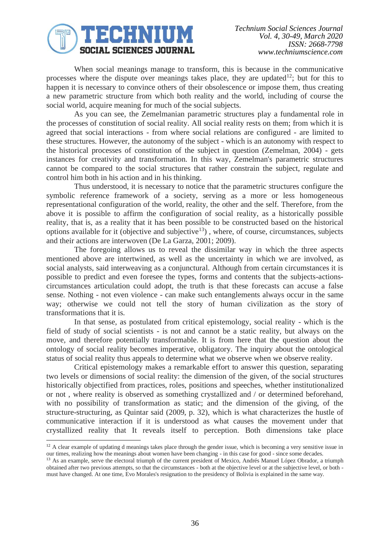

When social meanings manage to transform, this is because in the communicative processes where the dispute over meanings takes place, they are updated<sup>12</sup>; but for this to happen it is necessary to convince others of their obsolescence or impose them, thus creating a new parametric structure from which both reality and the world, including of course the social world, acquire meaning for much of the social subjects.

As you can see, the Zemelmanian parametric structures play a fundamental role in the processes of constitution of social reality. All social reality rests on them; from which it is agreed that social interactions - from where social relations are configured - are limited to these structures. However, the autonomy of the subject - which is an autonomy with respect to the historical processes of constitution of the subject in question (Zemelman, 2004) - gets instances for creativity and transformation. In this way, Zemelman's parametric structures cannot be compared to the social structures that rather constrain the subject, regulate and control him both in his action and in his thinking.

Thus understood, it is necessary to notice that the parametric structures configure the symbolic reference framework of a society, serving as a more or less homogeneous representational configuration of the world, reality, the other and the self. Therefore, from the above it is possible to affirm the configuration of social reality, as a historically possible reality, that is, as a reality that it has been possible to be constructed based on the historical options available for it (objective and subjective<sup>13</sup>), where, of course, circumstances, subjects and their actions are interwoven (De La Garza, 2001; 2009).

The foregoing allows us to reveal the dissimilar way in which the three aspects mentioned above are intertwined, as well as the uncertainty in which we are involved, as social analysts, said interweaving as a conjunctural. Although from certain circumstances it is possible to predict and even foresee the types, forms and contents that the subjects-actionscircumstances articulation could adopt, the truth is that these forecasts can accuse a false sense. Nothing - not even violence - can make such entanglements always occur in the same way; otherwise we could not tell the story of human civilization as the story of transformations that it is.

In that sense, as postulated from critical epistemology, social reality - which is the field of study of social scientists - is not and cannot be a static reality, but always on the move, and therefore potentially transformable. It is from here that the question about the ontology of social reality becomes imperative, obligatory. The inquiry about the ontological status of social reality thus appeals to determine what we observe when we observe reality.

Critical epistemology makes a remarkable effort to answer this question, separating two levels or dimensions of social reality: the dimension of the given, of the social structures historically objectified from practices, roles, positions and speeches, whether institutionalized or not , where reality is observed as something crystallized and / or determined beforehand, with no possibility of transformation as static; and the dimension of the giving, of the structure-structuring, as Quintar said (2009, p. 32), which is what characterizes the hustle of communicative interaction if it is understood as what causes the movement under that crystallized reality that It reveals itself to perception. Both dimensions take place

 $12$  A clear example of updating d meanings takes place through the gender issue, which is becoming a very sensitive issue in our times, realizing how the meanings about women have been changing - in this case for good - since some decades.

<sup>&</sup>lt;sup>13</sup> As an example, serve the electoral triumph of the current president of Mexico, Andrés Manuel López Obrador, a triumph obtained after two previous attempts, so that the circumstances - both at the objective level or at the subjective level, or both must have changed. At one time, Evo Morales's resignation to the presidency of Bolivia is explained in the same way.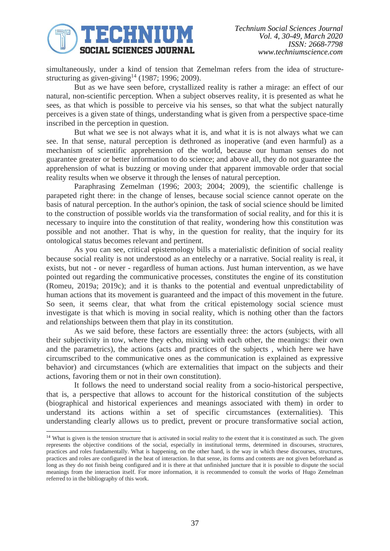

simultaneously, under a kind of tension that Zemelman refers from the idea of structurestructuring as given-giving<sup>14</sup> (1987; 1996; 2009).

But as we have seen before, crystallized reality is rather a mirage: an effect of our natural, non-scientific perception. When a subject observes reality, it is presented as what he sees, as that which is possible to perceive via his senses, so that what the subject naturally perceives is a given state of things, understanding what is given from a perspective space-time inscribed in the perception in question.

But what we see is not always what it is, and what it is is not always what we can see. In that sense, natural perception is dethroned as inoperative (and even harmful) as a mechanism of scientific apprehension of the world, because our human senses do not guarantee greater or better information to do science; and above all, they do not guarantee the apprehension of what is buzzing or moving under that apparent immovable order that social reality results when we observe it through the lenses of natural perception.

Paraphrasing Zemelman (1996; 2003; 2004; 2009), the scientific challenge is parapeted right there: in the change of lenses, because social science cannot operate on the basis of natural perception. In the author's opinion, the task of social science should be limited to the construction of possible worlds via the transformation of social reality, and for this it is necessary to inquire into the constitution of that reality, wondering how this constitution was possible and not another. That is why, in the question for reality, that the inquiry for its ontological status becomes relevant and pertinent.

As you can see, critical epistemology bills a materialistic definition of social reality because social reality is not understood as an entelechy or a narrative. Social reality is real, it exists, but not - or never - regardless of human actions. Just human intervention, as we have pointed out regarding the communicative processes, constitutes the engine of its constitution (Romeu, 2019a; 2019c); and it is thanks to the potential and eventual unpredictability of human actions that its movement is guaranteed and the impact of this movement in the future. So seen, it seems clear, that what from the critical epistemology social science must investigate is that which is moving in social reality, which is nothing other than the factors and relationships between them that play in its constitution.

As we said before, these factors are essentially three: the actors (subjects, with all their subjectivity in tow, where they echo, mixing with each other, the meanings: their own and the parametrics), the actions (acts and practices of the subjects , which here we have circumscribed to the communicative ones as the communication is explained as expressive behavior) and circumstances (which are externalities that impact on the subjects and their actions, favoring them or not in their own constitution).

It follows the need to understand social reality from a socio-historical perspective, that is, a perspective that allows to account for the historical constitution of the subjects (biographical and historical experiences and meanings associated with them) in order to understand its actions within a set of specific circumstances (externalities). This understanding clearly allows us to predict, prevent or procure transformative social action,

<sup>&</sup>lt;sup>14</sup> What is given is the tension structure that is activated in social reality to the extent that it is constituted as such. The given represents the objective conditions of the social, especially in institutional terms, determined in discourses, structures, practices and roles fundamentally. What is happening, on the other hand, is the way in which these discourses, structures, practices and roles are configured in the heat of interaction. In that sense, its forms and contents are not given beforehand as long as they do not finish being configured and it is there at that unfinished juncture that it is possible to dispute the social meanings from the interaction itself. For more information, it is recommended to consult the works of Hugo Zemelman referred to in the bibliography of this work.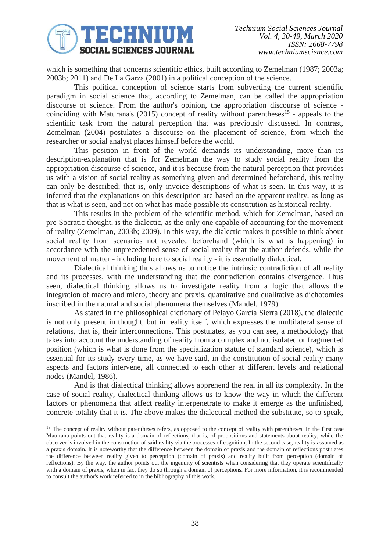

which is something that concerns scientific ethics, built according to Zemelman (1987; 2003a; 2003b; 2011) and De La Garza (2001) in a political conception of the science.

This political conception of science starts from subverting the current scientific paradigm in social science that, according to Zemelman, can be called the appropriation discourse of science. From the author's opinion, the appropriation discourse of science coinciding with Maturana's (2015) concept of reality without parentheses<sup>15</sup> - appeals to the scientific task from the natural perception that was previously discussed. In contrast, Zemelman (2004) postulates a discourse on the placement of science, from which the researcher or social analyst places himself before the world.

This position in front of the world demands its understanding, more than its description-explanation that is for Zemelman the way to study social reality from the appropriation discourse of science, and it is because from the natural perception that provides us with a vision of social reality as something given and determined beforehand, this reality can only be described; that is, only invoice descriptions of what is seen. In this way, it is inferred that the explanations on this description are based on the apparent reality, as long as that is what is seen, and not on what has made possible its constitution as historical reality.

This results in the problem of the scientific method, which for Zemelman, based on pre-Socratic thought, is the dialectic, as the only one capable of accounting for the movement of reality (Zemelman, 2003b; 2009). In this way, the dialectic makes it possible to think about social reality from scenarios not revealed beforehand (which is what is happening) in accordance with the unprecedented sense of social reality that the author defends, while the movement of matter - including here to social reality - it is essentially dialectical.

Dialectical thinking thus allows us to notice the intrinsic contradiction of all reality and its processes, with the understanding that the contradiction contains divergence. Thus seen, dialectical thinking allows us to investigate reality from a logic that allows the integration of macro and micro, theory and praxis, quantitative and qualitative as dichotomies inscribed in the natural and social phenomena themselves (Mandel, 1979).

As stated in the philosophical dictionary of Pelayo García Sierra (2018), the dialectic is not only present in thought, but in reality itself, which expresses the multilateral sense of relations, that is, their interconnections. This postulates, as you can see, a methodology that takes into account the understanding of reality from a complex and not isolated or fragmented position (which is what is done from the specialization statute of standard science), which is essential for its study every time, as we have said, in the constitution of social reality many aspects and factors intervene, all connected to each other at different levels and relational nodes (Mandel, 1986).

And is that dialectical thinking allows apprehend the real in all its complexity. In the case of social reality, dialectical thinking allows us to know the way in which the different factors or phenomena that affect reality interpenetrate to make it emerge as the unfinished, concrete totality that it is. The above makes the dialectical method the substitute, so to speak,

<sup>&</sup>lt;sup>15</sup> The concept of reality without parentheses refers, as opposed to the concept of reality with parentheses. In the first case Maturana points out that reality is a domain of reflections, that is, of propositions and statements about reality, while the observer is involved in the construction of said reality via the processes of cognition; In the second case, reality is assumed as a praxis domain. It is noteworthy that the difference between the domain of praxis and the domain of reflections postulates the difference between reality given to perception (domain of praxis) and reality built from perception (domain of reflections). By the way, the author points out the ingenuity of scientists when considering that they operate scientifically with a domain of praxis, when in fact they do so through a domain of perceptions. For more information, it is recommended to consult the author's work referred to in the bibliography of this work.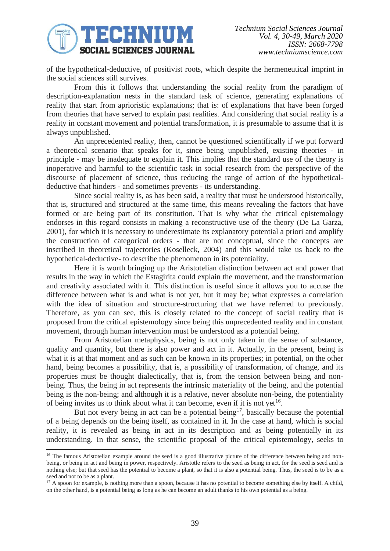

of the hypothetical-deductive, of positivist roots, which despite the hermeneutical imprint in the social sciences still survives.

From this it follows that understanding the social reality from the paradigm of description-explanation nests in the standard task of science, generating explanations of reality that start from aprioristic explanations; that is: of explanations that have been forged from theories that have served to explain past realities. And considering that social reality is a reality in constant movement and potential transformation, it is presumable to assume that it is always unpublished.

An unprecedented reality, then, cannot be questioned scientifically if we put forward a theoretical scenario that speaks for it, since being unpublished, existing theories - in principle - may be inadequate to explain it. This implies that the standard use of the theory is inoperative and harmful to the scientific task in social research from the perspective of the discourse of placement of science, thus reducing the range of action of the hypotheticaldeductive that hinders - and sometimes prevents - its understanding.

Since social reality is, as has been said, a reality that must be understood historically, that is, structured and structured at the same time, this means revealing the factors that have formed or are being part of its constitution. That is why what the critical epistemology endorses in this regard consists in making a reconstructive use of the theory (De La Garza, 2001), for which it is necessary to underestimate its explanatory potential a priori and amplify the construction of categorical orders - that are not conceptual, since the concepts are inscribed in theoretical trajectories (Koselleck, 2004) and this would take us back to the hypothetical-deductive- to describe the phenomenon in its potentiality.

Here it is worth bringing up the Aristotelian distinction between act and power that results in the way in which the Estagirita could explain the movement, and the transformation and creativity associated with it. This distinction is useful since it allows you to accuse the difference between what is and what is not yet, but it may be; what expresses a correlation with the idea of situation and structure-structuring that we have referred to previously. Therefore, as you can see, this is closely related to the concept of social reality that is proposed from the critical epistemology since being this unprecedented reality and in constant movement, through human intervention must be understood as a potential being.

From Aristotelian metaphysics, being is not only taken in the sense of substance, quality and quantity, but there is also power and act in it. Actually, in the present, being is what it is at that moment and as such can be known in its properties; in potential, on the other hand, being becomes a possibility, that is, a possibility of transformation, of change, and its properties must be thought dialectically, that is, from the tension between being and nonbeing. Thus, the being in act represents the intrinsic materiality of the being, and the potential being is the non-being; and although it is a relative, never absolute non-being, the potentiality of being invites us to think about what it can become, even if it is not yet<sup>16</sup>.

But not every being in act can be a potential being<sup>17</sup>, basically because the potential of a being depends on the being itself, as contained in it. In the case at hand, which is social reality, it is revealed as being in act in its description and as being potentially in its understanding. In that sense, the scientific proposal of the critical epistemology, seeks to

<sup>&</sup>lt;sup>16</sup> The famous Aristotelian example around the seed is a good illustrative picture of the difference between being and nonbeing, or being in act and being in power, respectively. Aristotle refers to the seed as being in act, for the seed is seed and is nothing else; but that seed has the potential to become a plant, so that it is also a potential being. Thus, the seed is to be as a seed and not to be as a plant.

<sup>&</sup>lt;sup>17</sup> A spoon for example, is nothing more than a spoon, because it has no potential to become something else by itself. A child, on the other hand, is a potential being as long as he can become an adult thanks to his own potential as a being.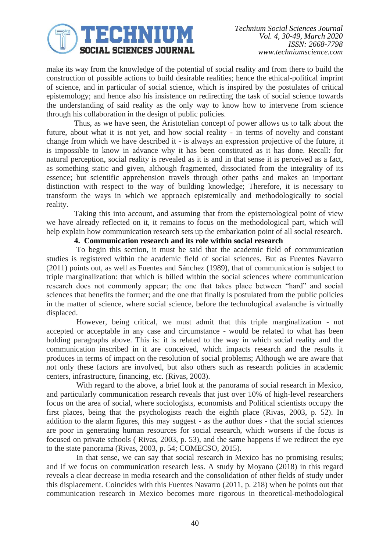

make its way from the knowledge of the potential of social reality and from there to build the construction of possible actions to build desirable realities; hence the ethical-political imprint of science, and in particular of social science, which is inspired by the postulates of critical epistemology; and hence also his insistence on redirecting the task of social science towards the understanding of said reality as the only way to know how to intervene from science through his collaboration in the design of public policies.

Thus, as we have seen, the Aristotelian concept of power allows us to talk about the future, about what it is not yet, and how social reality - in terms of novelty and constant change from which we have described it - is always an expression projective of the future, it is impossible to know in advance why it has been constituted as it has done. Recall: for natural perception, social reality is revealed as it is and in that sense it is perceived as a fact, as something static and given, although fragmented, dissociated from the integrality of its essence; but scientific apprehension travels through other paths and makes an important distinction with respect to the way of building knowledge; Therefore, it is necessary to transform the ways in which we approach epistemically and methodologically to social reality.

Taking this into account, and assuming that from the epistemological point of view we have already reflected on it, it remains to focus on the methodological part, which will help explain how communication research sets up the embarkation point of all social research.

### **4. Communication research and its role within social research**

To begin this section, it must be said that the academic field of communication studies is registered within the academic field of social sciences. But as Fuentes Navarro (2011) points out, as well as Fuentes and Sánchez (1989), that of communication is subject to triple marginalization: that which is billed within the social sciences where communication research does not commonly appear; the one that takes place between "hard" and social sciences that benefits the former; and the one that finally is postulated from the public policies in the matter of science, where social science, before the technological avalanche is virtually displaced.

However, being critical, we must admit that this triple marginalization - not accepted or acceptable in any case and circumstance - would be related to what has been holding paragraphs above. This is: it is related to the way in which social reality and the communication inscribed in it are conceived, which impacts research and the results it produces in terms of impact on the resolution of social problems; Although we are aware that not only these factors are involved, but also others such as research policies in academic centers, infrastructure, financing, etc. (Rivas, 2003).

With regard to the above, a brief look at the panorama of social research in Mexico, and particularly communication research reveals that just over 10% of high-level researchers focus on the area of social, where sociologists, economists and Political scientists occupy the first places, being that the psychologists reach the eighth place (Rivas, 2003, p. 52). In addition to the alarm figures, this may suggest - as the author does - that the social sciences are poor in generating human resources for social research, which worsens if the focus is focused on private schools ( Rivas, 2003, p. 53), and the same happens if we redirect the eye to the state panorama (Rivas, 2003, p. 54; COMECSO, 2015).

In that sense, we can say that social research in Mexico has no promising results; and if we focus on communication research less. A study by Moyano (2018) in this regard reveals a clear decrease in media research and the consolidation of other fields of study under this displacement. Coincides with this Fuentes Navarro (2011, p. 218) when he points out that communication research in Mexico becomes more rigorous in theoretical-methodological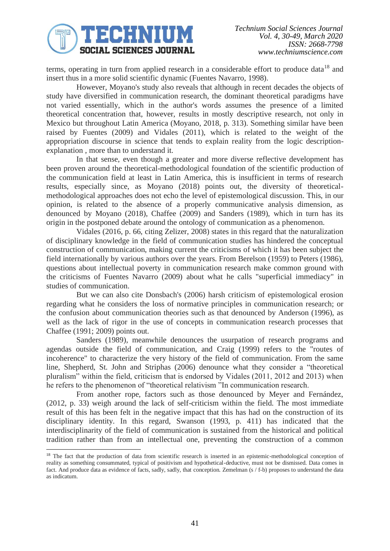

terms, operating in turn from applied research in a considerable effort to produce data<sup>18</sup> and insert thus in a more solid scientific dynamic (Fuentes Navarro, 1998).

However, Moyano's study also reveals that although in recent decades the objects of study have diversified in communication research, the dominant theoretical paradigms have not varied essentially, which in the author's words assumes the presence of a limited theoretical concentration that, however, results in mostly descriptive research, not only in Mexico but throughout Latin America (Moyano, 2018, p. 313). Something similar have been raised by Fuentes (2009) and Vidales (2011), which is related to the weight of the appropriation discourse in science that tends to explain reality from the logic descriptionexplanation , more than to understand it.

In that sense, even though a greater and more diverse reflective development has been proven around the theoretical-methodological foundation of the scientific production of the communication field at least in Latin America, this is insufficient in terms of research results, especially since, as Moyano (2018) points out, the diversity of theoreticalmethodological approaches does not echo the level of epistemological discussion. This, in our opinion, is related to the absence of a properly communicative analysis dimension, as denounced by Moyano (2018), Chaffee (2009) and Sanders (1989), which in turn has its origin in the postponed debate around the ontology of communication as a phenomenon.

Vidales (2016, p. 66, citing Zelizer, 2008) states in this regard that the naturalization of disciplinary knowledge in the field of communication studies has hindered the conceptual construction of communication, making current the criticisms of which it has been subject the field internationally by various authors over the years. From Berelson (1959) to Peters (1986), questions about intellectual poverty in communication research make common ground with the criticisms of Fuentes Navarro (2009) about what he calls "superficial immediacy" in studies of communication.

But we can also cite Donsbach's (2006) harsh criticism of epistemological erosion regarding what he considers the loss of normative principles in communication research; or the confusion about communication theories such as that denounced by Anderson (1996), as well as the lack of rigor in the use of concepts in communication research processes that Chaffee (1991; 2009) points out.

Sanders (1989), meanwhile denounces the usurpation of research programs and agendas outside the field of communication, and Craig (1999) refers to the "routes of incoherence" to characterize the very history of the field of communication. From the same line, Shepherd, St. John and Striphas (2006) denounce what they consider a "theoretical pluralism" within the field, criticism that is endorsed by Vidales (2011, 2012 and 2013) when he refers to the phenomenon of "theoretical relativism "In communication research.

From another rope, factors such as those denounced by Meyer and Fernández, (2012, p. 33) weigh around the lack of self-criticism within the field. The most immediate result of this has been felt in the negative impact that this has had on the construction of its disciplinary identity. In this regard, Swanson (1993, p. 411) has indicated that the interdisciplinarity of the field of communication is sustained from the historical and political tradition rather than from an intellectual one, preventing the construction of a common

<sup>&</sup>lt;sup>18</sup> The fact that the production of data from scientific research is inserted in an epistemic-methodological conception of reality as something consummated, typical of positivism and hypothetical-deductive, must not be dismissed. Data comes in fact. And produce data as evidence of facts, sadly, sadly, that conception. Zemelman (s / f-b) proposes to understand the data as indicatum.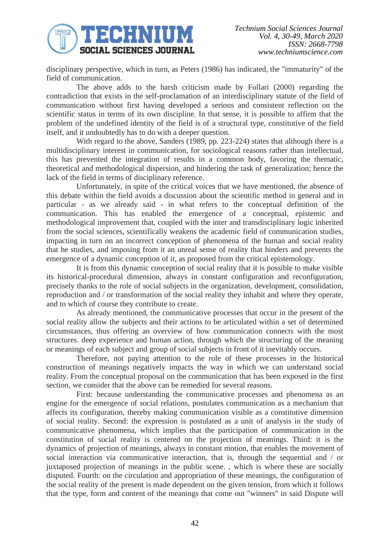

disciplinary perspective, which in turn, as Peters (1986) has indicated, the "immaturity" of the field of communication.

The above adds to the harsh criticism made by Follari (2000) regarding the contradiction that exists in the self-proclamation of an interdisciplinary statute of the field of communication without first having developed a serious and consistent reflection on the scientific status in terms of its own discipline. In that sense, it is possible to affirm that the problem of the undefined identity of the field is of a structural type, constitutive of the field itself, and it undoubtedly has to do with a deeper question.

With regard to the above, Sanders (1989, pp. 223-224) states that although there is a multidisciplinary interest in communication, for sociological reasons rather than intellectual, this has prevented the integration of results in a common body, favoring the thematic, theoretical and methodological dispersion, and hindering the task of generalization; hence the lack of the field in terms of disciplinary reference.

Unfortunately, in spite of the critical voices that we have mentioned, the absence of this debate within the field avoids a discussion about the scientific method in general and in particular - as we already said - in what refers to the conceptual definition of the communication. This has enabled the emergence of a conceptual, epistemic and methodological improvement that, coupled with the inter and transdisciplinary logic inherited from the social sciences, scientifically weakens the academic field of communication studies, impacting in turn on an incorrect conception of phenomena of the human and social reality that he studies, and imposing from it an unreal sense of reality that hinders and prevents the emergence of a dynamic conception of it, as proposed from the critical epistemology.

It is from this dynamic conception of social reality that it is possible to make visible its historical-procedural dimension, always in constant configuration and reconfiguration, precisely thanks to the role of social subjects in the organization, development, consolidation, reproduction and / or transformation of the social reality they inhabit and where they operate, and to which of course they contribute to create.

As already mentioned, the communicative processes that occur in the present of the social reality allow the subjects and their actions to be articulated within a set of determined circumstances, thus offering an overview of how communication connects with the most structures. deep experience and human action, through which the structuring of the meaning or meanings of each subject and group of social subjects in front of it inevitably occurs.

Therefore, not paying attention to the role of these processes in the historical construction of meanings negatively impacts the way in which we can understand social reality. From the conceptual proposal on the communication that has been exposed in the first section, we consider that the above can be remedied for several reasons.

First: because understanding the communicative processes and phenomena as an engine for the emergence of social relations, postulates communication as a mechanism that affects its configuration, thereby making communication visible as a constitutive dimension of social reality. Second: the expression is postulated as a unit of analysis in the study of communicative phenomena, which implies that the participation of communication in the constitution of social reality is centered on the projection of meanings. Third: it is the dynamics of projection of meanings, always in constant motion, that enables the movement of social interaction via communicative interaction, that is, through the sequential and / or juxtaposed projection of meanings in the public scene. , which is where these are socially disputed. Fourth: on the circulation and appropriation of these meanings, the configuration of the social reality of the present is made dependent on the given tension, from which it follows that the type, form and content of the meanings that come out "winners" in said Dispute will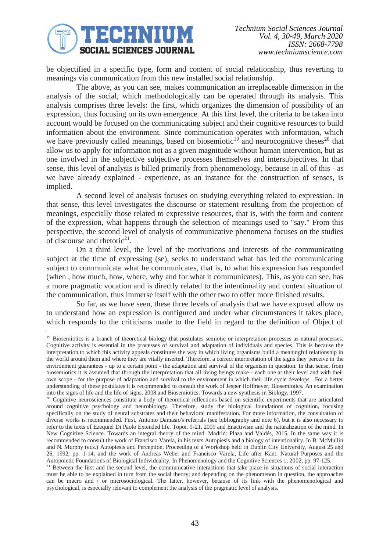

be objectified in a specific type, form and content of social relationship, thus reverting to meanings via communication from this new installed social relationship.

The above, as you can see, makes communication an irreplaceable dimension in the analysis of the social, which methodologically can be operated through its analysis. This analysis comprises three levels: the first, which organizes the dimension of possibility of an expression, thus focusing on its own emergence. At this first level, the criteria to be taken into account would be focused on the communicating subject and their cognitive resources to build information about the environment. Since communication operates with information, which we have previously called meanings, based on biosemiotic<sup>19</sup> and neurocognitive theses<sup>20</sup> that allow us to apply for information not as a given magnitude without human intervention, but as one involved in the subjective subjective processes themselves and intersubjectives. In that sense, this level of analysis is billed primarily from phenomenology, because in all of this - as we have already explained - experience, as an instance for the construction of senses, is implied.

A second level of analysis focuses on studying everything related to expression. In that sense, this level investigates the discourse or statement resulting from the projection of meanings, especially those related to expressive resources, that is, with the form and content of the expression, what happens through the selection of meanings used to "say." From this perspective, the second level of analysis of communicative phenomena focuses on the studies of discourse and rhetoric<sup>21</sup>.

On a third level, the level of the motivations and interests of the communicating subject at the time of expressing (se), seeks to understand what has led the communicating subject to communicate what he communicates, that is, to what his expression has responded (when , how much, how, where, why and for what it communicates). This, as you can see, has a more pragmatic vocation and is directly related to the intentionality and context situation of the communication, thus immerse itself with the other two to offer more finished results.

So far, as we have seen, these three levels of analysis that we have exposed allow us to understand how an expression is configured and under what circumstances it takes place, which responds to the criticisms made to the field in regard to the definition of Object of

<sup>&</sup>lt;sup>19</sup> Biosemiotics is a branch of theoretical biology that postulates semiotic or interpretation processes as natural processes. Cognitive activity is essential in the processes of survival and adaptation of individuals and species. This is because the interpretation to which this activity appeals constitutes the way in which living organisms build a meaningful relationship in the world around them and where they are vitally inserted. Therefore, a correct interpretation of the signs they perceive in the environment guarantees - up to a certain point - the adaptation and survival of the organism in question. In that sense, from biosemiotics it is assumed that through the interpretation that all living beings make - each one at their level and with their own scope - for the purpose of adaptation and survival to the environment in which their life cycle develops . For a better understanding of these postulates it is recommended to consult the work of Jesper Hoffmeyer, Biosemiotics. An examination into the signs of life and the life of signs, 2008 and Biosemiotics: Towards a new synthesis in Biology, 1997.

<sup>&</sup>lt;sup>20</sup> Cognitive neurosciences constitute a body of theoretical reflections based on scientific experiments that are articulated around cognitive psychology and neurobiology. Therefore, study the biological foundations of cognition, focusing specifically on the study of neural substrates and their behavioral manifestation. For more information, the consultation of diverse works is recommended. First, Antonio Damasio's referrals (see bibliography and note 6), but it is also necessary to refer to the texts of Ezequiel Di Paolo Extended life. Topoi, 9-21, 2009 and Enactivism and the naturalization of the mind. In New Cognitive Science. Towards an integral theory of the mind. Madrid: Plaza and Valdés, 2015. In the same way it is recommended to consult the work of Francisco Varela, in his texts Autopiesis and a biology of intentionality. In B. McMullin and N. Murphy (eds.) Autopiesis and Perception. Proceeding of a Workshop held in Dublin City University, August 25 and 26, 1992, pp. 1-14; and the work of Andreas Weber and Francisco Varela, Life after Kant: Natural Purposes and the Autopoietic Foundations of Biological Individuality. In Phenomenology and the Cognitive Sciences 1, 2002, pp. 97-125.

<sup>&</sup>lt;sup>21</sup> Between the first and the second level, the communicative interactions that take place in situations of social interaction must be able to be explained in turn from the social theory; and depending on the phenomenon in question, the approaches can be macro and  $\ell$  or microsociological. The latter, however, because of its link with the phenomenological and psychological, is especially relevant to complement the analysis of the pragmatic level of analysis.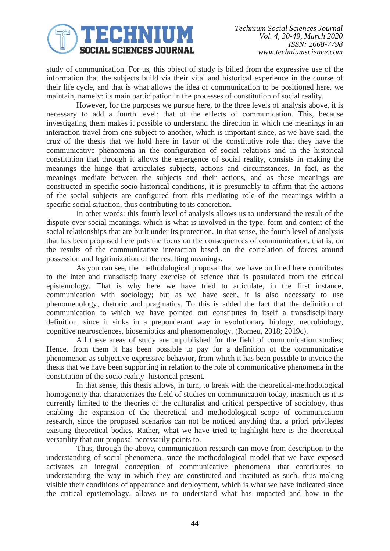

study of communication. For us, this object of study is billed from the expressive use of the information that the subjects build via their vital and historical experience in the course of their life cycle, and that is what allows the idea of communication to be positioned here. we maintain, namely: its main participation in the processes of constitution of social reality.

However, for the purposes we pursue here, to the three levels of analysis above, it is necessary to add a fourth level: that of the effects of communication. This, because investigating them makes it possible to understand the direction in which the meanings in an interaction travel from one subject to another, which is important since, as we have said, the crux of the thesis that we hold here in favor of the constitutive role that they have the communicative phenomena in the configuration of social relations and in the historical constitution that through it allows the emergence of social reality, consists in making the meanings the hinge that articulates subjects, actions and circumstances. In fact, as the meanings mediate between the subjects and their actions, and as these meanings are constructed in specific socio-historical conditions, it is presumably to affirm that the actions of the social subjects are configured from this mediating role of the meanings within a specific social situation, thus contributing to its concretion.

In other words: this fourth level of analysis allows us to understand the result of the dispute over social meanings, which is what is involved in the type, form and content of the social relationships that are built under its protection. In that sense, the fourth level of analysis that has been proposed here puts the focus on the consequences of communication, that is, on the results of the communicative interaction based on the correlation of forces around possession and legitimization of the resulting meanings.

As you can see, the methodological proposal that we have outlined here contributes to the inter and transdisciplinary exercise of science that is postulated from the critical epistemology. That is why here we have tried to articulate, in the first instance, communication with sociology; but as we have seen, it is also necessary to use phenomenology, rhetoric and pragmatics. To this is added the fact that the definition of communication to which we have pointed out constitutes in itself a transdisciplinary definition, since it sinks in a preponderant way in evolutionary biology, neurobiology, cognitive neurosciences, biosemiotics and phenomenology. (Romeu, 2018; 2019c).

All these areas of study are unpublished for the field of communication studies; Hence, from them it has been possible to pay for a definition of the communicative phenomenon as subjective expressive behavior, from which it has been possible to invoice the thesis that we have been supporting in relation to the role of communicative phenomena in the constitution of the socio reality -historical present.

In that sense, this thesis allows, in turn, to break with the theoretical-methodological homogeneity that characterizes the field of studies on communication today, inasmuch as it is currently limited to the theories of the culturalist and critical perspective of sociology, thus enabling the expansion of the theoretical and methodological scope of communication research, since the proposed scenarios can not be noticed anything that a priori privileges existing theoretical bodies. Rather, what we have tried to highlight here is the theoretical versatility that our proposal necessarily points to.

Thus, through the above, communication research can move from description to the understanding of social phenomena, since the methodological model that we have exposed activates an integral conception of communicative phenomena that contributes to understanding the way in which they are constituted and instituted as such, thus making visible their conditions of appearance and deployment, which is what we have indicated since the critical epistemology, allows us to understand what has impacted and how in the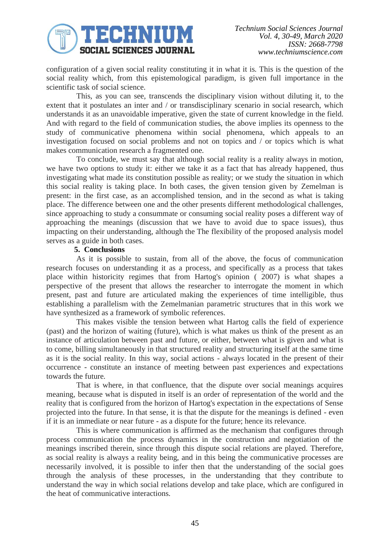

configuration of a given social reality constituting it in what it is. This is the question of the social reality which, from this epistemological paradigm, is given full importance in the scientific task of social science.

This, as you can see, transcends the disciplinary vision without diluting it, to the extent that it postulates an inter and / or transdisciplinary scenario in social research, which understands it as an unavoidable imperative, given the state of current knowledge in the field. And with regard to the field of communication studies, the above implies its openness to the study of communicative phenomena within social phenomena, which appeals to an investigation focused on social problems and not on topics and / or topics which is what makes communication research a fragmented one.

To conclude, we must say that although social reality is a reality always in motion, we have two options to study it: either we take it as a fact that has already happened, thus investigating what made its constitution possible as reality; or we study the situation in which this social reality is taking place. In both cases, the given tension given by Zemelman is present: in the first case, as an accomplished tension, and in the second as what is taking place. The difference between one and the other presents different methodological challenges, since approaching to study a consummate or consuming social reality poses a different way of approaching the meanings (discussion that we have to avoid due to space issues), thus impacting on their understanding, although the The flexibility of the proposed analysis model serves as a guide in both cases.

### **5. Conclusions**

As it is possible to sustain, from all of the above, the focus of communication research focuses on understanding it as a process, and specifically as a process that takes place within historicity regimes that from Hartog's opinion ( 2007) is what shapes a perspective of the present that allows the researcher to interrogate the moment in which present, past and future are articulated making the experiences of time intelligible, thus establishing a parallelism with the Zemelmanian parametric structures that in this work we have synthesized as a framework of symbolic references.

This makes visible the tension between what Hartog calls the field of experience (past) and the horizon of waiting (future), which is what makes us think of the present as an instance of articulation between past and future, or either, between what is given and what is to come, billing simultaneously in that structured reality and structuring itself at the same time as it is the social reality. In this way, social actions - always located in the present of their occurrence - constitute an instance of meeting between past experiences and expectations towards the future.

That is where, in that confluence, that the dispute over social meanings acquires meaning, because what is disputed in itself is an order of representation of the world and the reality that is configured from the horizon of Hartog's expectation in the expectations of Sense projected into the future. In that sense, it is that the dispute for the meanings is defined - even if it is an immediate or near future - as a dispute for the future; hence its relevance.

This is where communication is affirmed as the mechanism that configures through process communication the process dynamics in the construction and negotiation of the meanings inscribed therein, since through this dispute social relations are played. Therefore, as social reality is always a reality being, and in this being the communicative processes are necessarily involved, it is possible to infer then that the understanding of the social goes through the analysis of these processes, in the understanding that they contribute to understand the way in which social relations develop and take place, which are configured in the heat of communicative interactions.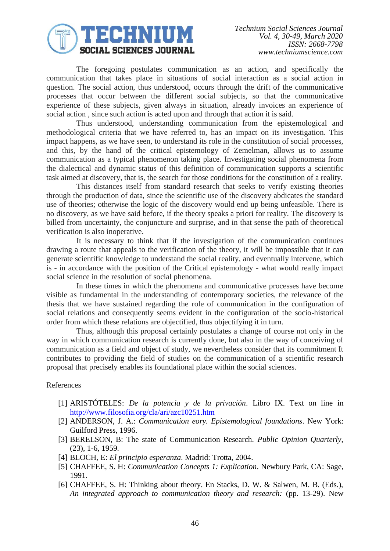

The foregoing postulates communication as an action, and specifically the communication that takes place in situations of social interaction as a social action in question. The social action, thus understood, occurs through the drift of the communicative processes that occur between the different social subjects, so that the communicative experience of these subjects, given always in situation, already invoices an experience of social action , since such action is acted upon and through that action it is said.

Thus understood, understanding communication from the epistemological and methodological criteria that we have referred to, has an impact on its investigation. This impact happens, as we have seen, to understand its role in the constitution of social processes, and this, by the hand of the critical epistemology of Zemelman, allows us to assume communication as a typical phenomenon taking place. Investigating social phenomena from the dialectical and dynamic status of this definition of communication supports a scientific task aimed at discovery, that is, the search for those conditions for the constitution of a reality.

This distances itself from standard research that seeks to verify existing theories through the production of data, since the scientific use of the discovery abdicates the standard use of theories; otherwise the logic of the discovery would end up being unfeasible. There is no discovery, as we have said before, if the theory speaks a priori for reality. The discovery is billed from uncertainty, the conjuncture and surprise, and in that sense the path of theoretical verification is also inoperative.

It is necessary to think that if the investigation of the communication continues drawing a route that appeals to the verification of the theory, it will be impossible that it can generate scientific knowledge to understand the social reality, and eventually intervene, which is - in accordance with the position of the Critical epistemology - what would really impact social science in the resolution of social phenomena.

In these times in which the phenomena and communicative processes have become visible as fundamental in the understanding of contemporary societies, the relevance of the thesis that we have sustained regarding the role of communication in the configuration of social relations and consequently seems evident in the configuration of the socio-historical order from which these relations are objectified, thus objectifying it in turn.

Thus, although this proposal certainly postulates a change of course not only in the way in which communication research is currently done, but also in the way of conceiving of communication as a field and object of study, we nevertheless consider that its commitment It contributes to providing the field of studies on the communication of a scientific research proposal that precisely enables its foundational place within the social sciences.

### References

- [1] ARISTÓTELES: *De la potencia y de la privación*. Libro IX. Text on line in <http://www.filosofia.org/cla/ari/azc10251.htm>
- [2] ANDERSON, J. A.: *Communication eory. Epistemological foundations*. New York: Guilford Press, 1996.
- [3] BERELSON, B: The state of Communication Research. *Public Opinion Quarterly*, (23), 1-6, 1959.
- [4] BLOCH, E: *El principio esperanza*. Madrid: Trotta, 2004.
- [5] CHAFFEE, S. H: *Communication Concepts 1: Explication*. Newbury Park, CA: Sage, 1991.
- [6] CHAFFEE, S. H: Thinking about theory. En Stacks, D. W. & Salwen, M. B. (Eds.), *An integrated approach to communication theory and research:* (pp. 13-29). New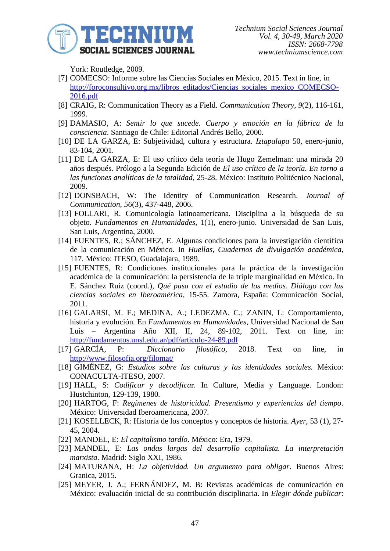

York: Routledge, 2009.

- [7] COMECSO: Informe sobre las Ciencias Sociales en México, 2015. Text in line, in [http://foroconsultivo.org.mx/libros\\_editados/Ciencias\\_sociales\\_mexico\\_COMECSO-](http://foroconsultivo.org.mx/libros_editados/Ciencias_sociales_mexico_COMECSO-2016.pdf)[2016.pdf](http://foroconsultivo.org.mx/libros_editados/Ciencias_sociales_mexico_COMECSO-2016.pdf)
- [8] CRAIG, R: Communication Theory as a Field. *Communication Theory, 9*(2), 116-161, 1999.
- [9] DAMASIO, A: *Sentir lo que sucede. Cuerpo y emoción en la fábrica de la consciencia*. Santiago de Chile: Editorial Andrés Bello, 2000.
- [10] DE LA GARZA, E: Subjetividad, cultura y estructura. *Iztapalapa* 50, enero-junio, 83-104, 2001.
- [11] DE LA GARZA, E: El uso crítico dela teoría de Hugo Zemelman: una mirada 20 años después. Prólogo a la Segunda Edición de *El uso crítico de la teoría. En torno a las funciones analíticas de la totalidad*, 25-28. México: Instituto Politécnico Nacional, 2009.
- [12] DONSBACH, W: The Identity of Communication Research. *Journal of Communication, 56*(3), 437-448, 2006.
- [13] FOLLARI, R. Comunicología latinoamericana. Disciplina a la búsqueda de su objeto. *Fundamentos en Humanidades*, 1(1), enero-junio. Universidad de San Luis, San Luis, Argentina, 2000.
- [14] FUENTES, R.; SÁNCHEZ, E. Algunas condiciones para la investigación científica de la comunicación en México. In *Huellas, Cuadernos de divulgación académica*, 117. México: ITESO, Guadalajara, 1989.
- [15] FUENTES, R: Condiciones institucionales para la práctica de la investigación académica de la comunicación: la persistencia de la triple marginalidad en México. In E. Sánchez Ruiz (coord.), *Qué pasa con el estudio de los medios. Diálogo con las ciencias sociales en Iberoamérica,* 15-55. Zamora, España: Comunicación Social, 2011.
- [16] GALARSI, M. F.; MEDINA, A.; LEDEZMA, C.; ZANIN, L: Comportamiento, historia y evolución. En *Fundamentos en Humanidades*, Universidad Nacional de San Luis – Argentina Año XII, II, 24, 89-102, 2011. Text on line, in: <http://fundamentos.unsl.edu.ar/pdf/articulo-24-89.pdf>
- [17] GARCÍA, P: *Diccionario filosófico*, 2018. Text on line, in <http://www.filosofia.org/filomat/>
- [18] GIMÉNEZ, G: *Estudios sobre las culturas y las identidades sociales.* México: CONACULTA-ITESO, 2007.
- [19] HALL, S: *Codificar y decodifica*r. In Culture, Media y Language. London: Hustchinton, 129-139, 1980.
- [20] HARTOG, F: *Regímenes de historicidad. Presentismo y experiencias del tiempo*. México: Universidad Iberoamericana, 2007.
- [21] KOSELLECK, R: Historia de los conceptos y conceptos de historia. *Ayer*, 53 (1), 27- 45, 2004.
- [22] MANDEL, E: *El capitalismo tardío*. México: Era, 1979.
- [23] MANDEL, E: *Las ondas largas del desarrollo capitalista. La interpretación marxista*. Madrid: Siglo XXI, 1986.
- [24] MATURANA, H: *La objetividad. Un argumento para obligar*. Buenos Aires: Granica, 2015.
- [25] MEYER, J. A.; FERNÁNDEZ, M. B: Revistas académicas de comunicación en México: evaluación inicial de su contribución disciplinaria. In *Elegir dónde publicar*: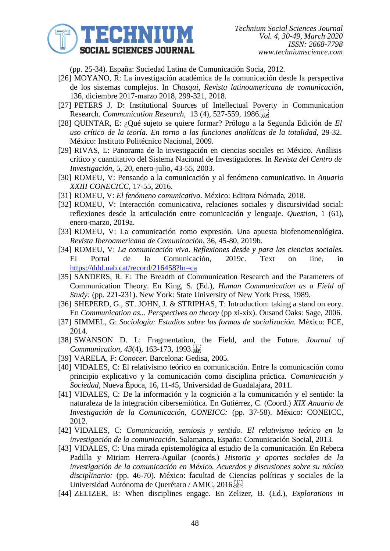

(pp. 25-34). España: Sociedad Latina de Comunicación Socia, 2012.

- [26] MOYANO, R: La investigación académica de la comunicación desde la perspectiva de los sistemas complejos. In *Chasqui, Revista latinoamericana de comunicación*, 136, diciembre 2017-marzo 2018, 299-321, 2018.
- [27] PETERS J. D: Institutional Sources of Intellectual Poverty in Communication Research. *Communication Research,* 13 (4), 527-559, 1986.
- [28] QUINTAR, E: ¿Qué sujeto se quiere formar? Prólogo a la Segunda Edición de *El uso crítico de la teoría. En torno a las funciones analíticas de la totalidad*, 29-32. México: Instituto Politécnico Nacional, 2009.
- [29] RIVAS, L: Panorama de la investigación en ciencias sociales en México. Análisis crítico y cuantitativo del Sistema Nacional de Investigadores. In *Revista del Centro de Investigación*, 5, 20, enero-julio, 43-55, 2003.
- [30] ROMEU, V: Pensando a la comunicación y al fenómeno comunicativo. In *Anuario XXIII CONECICC*, 17-55, 2016.
- [31] ROMEU, V: *El fenómeno comunicativo*. México: Editora Nómada, 2018.
- [32] ROMEU, V: Interacción comunicativa, relaciones sociales y discursividad social: reflexiones desde la articulación entre comunicación y lenguaje. *Question*, 1 (61), enero-marzo, 2019a.
- [33] ROMEU, V: La comunicación como expresión. Una apuesta biofenomenológica. *Revista Iberoamericana de Comunicación*, 36, 45-80, 2019b.
- [34] ROMEU, V: *La comunicación viva*. *Reflexiones desde y para las ciencias sociales.*  El Portal de la Comunicación, 2019c. Text on line, in <https://ddd.uab.cat/record/216458?ln=ca>
- [35] SANDERS, R. E: The Breadth of Communication Research and the Parameters of Communication Theory. En King, S. (Ed.), *Human Communication as a Field of Study:* (pp. 221-231). New York: State University of New York Press, 1989.
- [36] SHEPERD, G., ST. JOHN, J. & STRIPHAS, T: Introduction: taking a stand on eory. En *Communication as... Perspectives on theory* (pp xi-xix). Ousand Oaks: Sage, 2006.
- [37] SIMMEL, G: *Sociología: Estudios sobre las formas de socialización.* México: FCE, 2014.
- [38] SWANSON D. L: Fragmentation, the Field, and the Future. *Journal of Communication*, *43*(4), 163-173, 1993.
- [39] VARELA, F: *Conocer*. Barcelona: Gedisa, 2005.
- [40] VIDALES, C: El relativismo teórico en comunicación. Entre la comunicación como principio explicativo y la comunicación como disciplina práctica. *Comunicación y Sociedad*, Nueva Época, 16, 11-45, Universidad de Guadalajara, 2011.
- [41] VIDALES, C: De la información y la cognición a la comunicación y el sentido: la naturaleza de la integración cibersemiótica. En Gutiérrez, C. (Coord.) *XIX Anuario de Investigación de la Comunicación, CONEICC:* (pp. 37-58). México: CONEICC, 2012.
- [42] VIDALES, C: *Comunicación, semiosis y sentido. El relativismo teórico en la investigación de la comunicación*. Salamanca, España: Comunicación Social, 2013.
- [43] VIDALES, C: Una mirada epistemológica al estudio de la comunicación. En Rebeca Padilla y Miriam Herrera-Aguilar (coords.) *Historia y aportes sociales de la investigación de la comunicación en México. Acuerdos y discusiones sobre su núcleo disciplinario:* (pp. 46-70). México: facultad de Ciencias políticas y sociales de la Universidad Autónoma de Querétaro / AMIC, 2016.
- [44] ZELIZER, B: When disciplines engage. En Zelizer, B. (Ed.), *Explorations in*